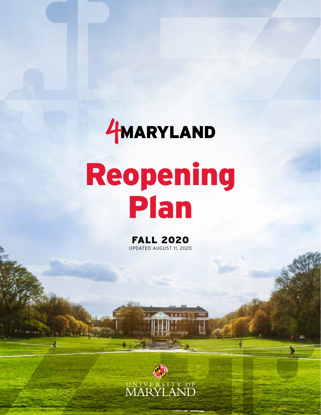# HMARYLAND Reopening Plan

FALL 2020 UPDATED AUGUST 11, 2020

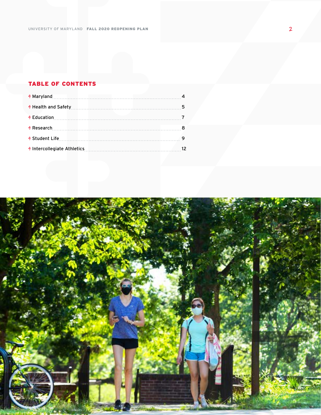### TABLE OF CONTENTS

| 4 Maryland 1.1 March 1.1 March 1.1 March 1.1 March 1.1 March 1.1 March 1.1 March 1.1 March 1.1 March 1.1 March 1.1 March 1.1 March 1.1 March 1.1 March 1.1 March 1.1 March 1.1 March 1.1 March 1.1 March 1.1 March 1.1 March 1 |  |
|--------------------------------------------------------------------------------------------------------------------------------------------------------------------------------------------------------------------------------|--|
|                                                                                                                                                                                                                                |  |
|                                                                                                                                                                                                                                |  |
|                                                                                                                                                                                                                                |  |
|                                                                                                                                                                                                                                |  |
|                                                                                                                                                                                                                                |  |

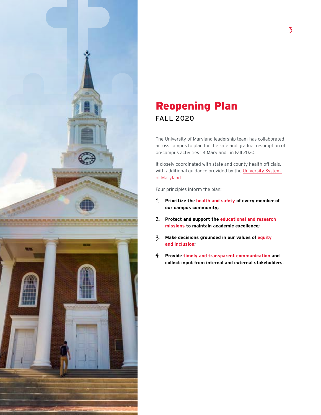

### Reopening Plan FALL 2020

The University of Maryland leadership team has collaborated across campus to plan for the safe and gradual resumption of on-campus activities "4 Maryland" in Fall 2020.

It closely coordinated with state and county health officials, with additional guidance provided by the University System [of Maryland](https://www.usmd.edu/newsroom/news/2049).

Four principles inform the plan:

- **1. Prioritize the health and safety of every member of our campus community;**
- **2. Protect and support the educational and research missions to maintain academic excellence;**
- **3. Make decisions grounded in our values of equity and inclusion;**
- **4. Provide timely and transparent communication and collect input from internal and external stakeholders.**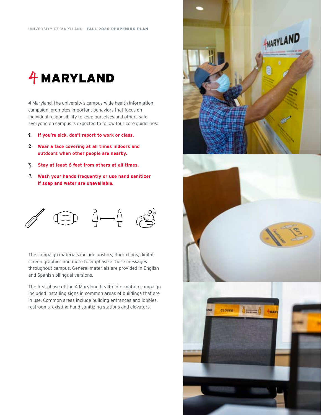### **4** MARYLAND

4 Maryland, the university's campus-wide health information campaign, promotes important behaviors that focus on individual responsibility to keep ourselves and others safe. Everyone on campus is expected to follow four core guidelines:

- **1. If you're sick, don't report to work or class.**
- **2. Wear a face covering at all times indoors and outdoors when other people are nearby.**
- **3. Stay at least 6 feet from others at all times.**
- **4. Wash your hands frequently or use hand sanitizer if soap and water are unavailable.**



The campaign materials include posters, floor clings, digital screen graphics and more to emphasize these messages throughout campus. General materials are provided in English and Spanish bilingual versions.

The first phase of the 4 Maryland health information campaign included installing signs in common areas of buildings that are in use. Common areas include building entrances and lobbies, restrooms, existing hand sanitizing stations and elevators.

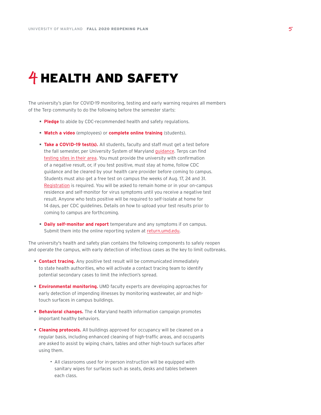# **4** HEALTH AND SAFETY

The university's plan for COVID-19 monitoring, testing and early warning requires all members of the Terp community to do the following before the semester starts:

- **Pledge** to abide by CDC-recommended health and safety regulations.
- **Watch a video** (employees) or **complete online training** (students).
- **Take a COVID-19 test(s).** All students, faculty and staff must get a test before the fall semester, per University System of Maryland **guidance**. Terps can find [testing sites in their area](https://www.hhs.gov/coronavirus/community-based-testing-sites/index.html). You must provide the university with confirmation of a negative result, or, if you test positive, must stay at home, follow CDC guidance and be cleared by your health care provider before coming to campus. Students must also get a free test on campus the weeks of Aug. 17, 24 and 31. [Registration](https://uhr.umd.edu/coronavirus/return-to-campus/covid-19-testing-information/) is required. You will be asked to remain home or in your on-campus residence and self-monitor for virus symptoms until you receive a negative test result. Anyone who tests positive will be required to self-isolate at home for 14 days, per CDC guidelines. Details on how to upload your test results prior to coming to campus are forthcoming.
- **Daily self-monitor and report** temperature and any symptoms if on campus. Submit them into the online reporting system at [return.umd.edu](http://return.umd.edu).

The university's health and safety plan contains the following components to safely reopen and operate the campus, with early detection of infectious cases as the key to limit outbreaks.

- **Contact tracing.** Any positive test result will be communicated immediately to state health authorities, who will activate a contact tracing team to identify potential secondary cases to limit the infection's spread.
- **Environmental monitoring.** UMD faculty experts are developing approaches for early detection of impending illnesses by monitoring wastewater, air and hightouch surfaces in campus buildings.
- **Behavioral changes.** The 4 Maryland health information campaign promotes important healthy behaviors.
- **Cleaning protocols.** All buildings approved for occupancy will be cleaned on a regular basis, including enhanced cleaning of high-traffic areas, and occupants are asked to assist by wiping chairs, tables and other high-touch surfaces after using them.
	- ∙ All classrooms used for in-person instruction will be equipped with sanitary wipes for surfaces such as seats, desks and tables between each class.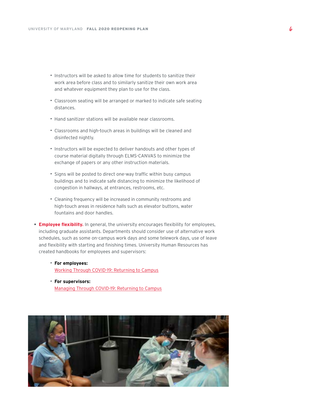- ∙ Instructors will be asked to allow time for students to sanitize their work area before class and to similarly sanitize their own work area and whatever equipment they plan to use for the class.
- ∙ Classroom seating will be arranged or marked to indicate safe seating distances.
- ∙ Hand sanitizer stations will be available near classrooms.
- ∙ Classrooms and high-touch areas in buildings will be cleaned and disinfected nightly.
- ∙ Instructors will be expected to deliver handouts and other types of course material digitally through ELMS-CANVAS to minimize the exchange of papers or any other instruction materials.
- ∙ Signs will be posted to direct one-way traffic within busy campus buildings and to indicate safe distancing to minimize the likelihood of congestion in hallways, at entrances, restrooms, etc.
- ∙ Cleaning frequency will be increased in community restrooms and high-touch areas in residence halls such as elevator buttons, water fountains and door handles.
- **Employee flexibility.** In general, the university encourages flexibility for employees, including graduate assistants. Departments should consider use of alternative work schedules, such as some on-campus work days and some telework days, use of leave and flexibility with starting and finishing times. University Human Resources has created handbooks for employees and supervisors:
	- ∙ **For employees:**  [Working Through COVID-19: Returning to Campus](https://umd.box.com/shared/static/hkb67k3asl4m6qxi57xjf2du92hiny02.pdf)
	- ∙ **For supervisors:**  [Managing Through COVID-19: Returning to Campus](https://umd.box.com/shared/static/qwekt5dsn8pzmozw82zsw34qac4gwutz.pdf)

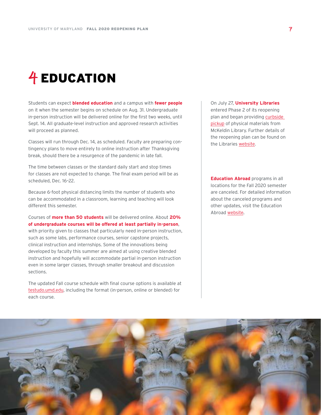# **4** EDUCATION

Students can expect **blended education** and a campus with **fewer people** on it when the semester begins on schedule on Aug. 31. Undergraduate in-person instruction will be delivered online for the first two weeks, until Sept. 14. All graduate-level instruction and approved research activities will proceed as planned.

Classes will run through Dec. 14, as scheduled. Faculty are preparing contingency plans to move entirely to online instruction after Thanksgiving break, should there be a resurgence of the pandemic in late fall.

The time between classes or the standard daily start and stop times for classes are not expected to change. The final exam period will be as scheduled, Dec. 16–22.

Because 6-foot physical distancing limits the number of students who can be accommodated in a classroom, learning and teaching will look different this semester.

Courses of **more than 50 students** will be delivered online. About **20% of undergraduate courses will be offered at least partially in-person**, with priority given to classes that particularly need in-person instruction, such as some labs, performance courses, senior capstone projects, clinical instruction and internships. Some of the innovations being developed by faculty this summer are aimed at using creative blended instruction and hopefully will accommodate partial in-person instruction even in some larger classes, through smaller breakout and discussion sections.

The updated Fall course schedule with final course options is available at [testudo.umd.edu](http://testudo.umd.edu), including the format (in-person, online or blended) for each course.

On July 27, **University Libraries** entered Phase 2 of its reopening plan and began providing curbside [pickup](https://www.lib.umd.edu/access/curbside-pickup-info) of physical materials from McKeldin Library. Further details of the reopening plan can be found on the Libraries [website](https://www.lib.umd.edu/about/coronavirus-updates#phases).

**Education Abroad** programs in all locations for the Fall 2020 semester are canceled. For detailed information about the canceled programs and other updates, visit the Education Abroad [website](https://globalmaryland.umd.edu/offices/education-abroad/coronavirus-and-study-abroad-updates).

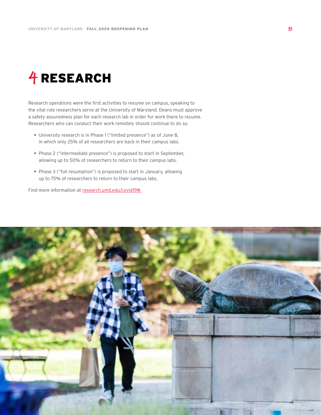# **4** RESEARCH

Research operations were the first activities to resume on campus, speaking to the vital role researchers serve at the University of Maryland. Deans must approve a safety assuredness plan for each research lab in order for work there to resume. Researchers who can conduct their work remotely should continue to do so.

- University research is in Phase 1 ("limited presence") as of June 8, in which only 25% of all researchers are back in their campus labs.
- Phase 2 ("intermediate presence") is proposed to start in September, allowing up to 50% of researchers to return to their campus labs.
- Phase 3 ("full resumption") is proposed to start in January, allowing up to 75% of researchers to return to their campus labs.

Find more information at [research.umd.edu/covid19#.](http://research.umd.edu/covid19#)

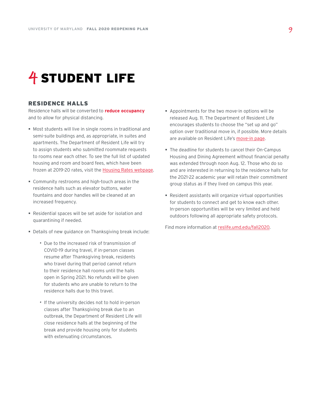### **4** STUDENT LIFE

#### RESIDENCE HALLS

Residence halls will be converted to **reduce occupancy**  and to allow for physical distancing.

- Most students will live in single rooms in traditional and semi-suite buildings and, as appropriate, in suites and apartments. The Department of Resident Life will try to assign students who submitted roommate requests to rooms near each other. To see the full list of updated housing and room and board fees, which have been frozen at 2019-20 rates, visit the [Housing Rates webpage.](http://reslife.umd.edu/housing/fees/)
- Community restrooms and high-touch areas in the residence halls such as elevator buttons, water fountains and door handles will be cleaned at an increased frequency.
- Residential spaces will be set aside for isolation and quarantining if needed.
- Details of new guidance on Thanksgiving break include:
	- ∙ Due to the increased risk of transmission of COVID-19 during travel, if in-person classes resume after Thanksgiving break, residents who travel during that period cannot return to their residence hall rooms until the halls open in Spring 2021. No refunds will be given for students who are unable to return to the residence halls due to this travel.
	- ∙ If the university decides not to hold in-person classes after Thanksgiving break due to an outbreak, the Department of Resident Life will close residence halls at the beginning of the break and provide housing only for students with extenuating circumstances.
- Appointments for the two move-in options will be released Aug. 11. The Department of Resident Life encourages students to choose the "set up and go" option over traditional move in, if possible. More details are available on Resident Life's [move-in page.](http://reslife.umd.edu/movein/options/)
- The deadline for students to cancel their On-Campus Housing and Dining Agreement without financial penalty was extended through noon Aug. 12. Those who do so and are interested in returning to the residence halls for the 2021-22 academic year will retain their commitment group status as if they lived on campus this year.
- Resident assistants will organize virtual opportunities for students to connect and get to know each other. In-person opportunities will be very limited and held outdoors following all appropriate safety protocols.

Find more information at [reslife.umd.edu/fall2020](http://reslife.umd.edu/fall2020).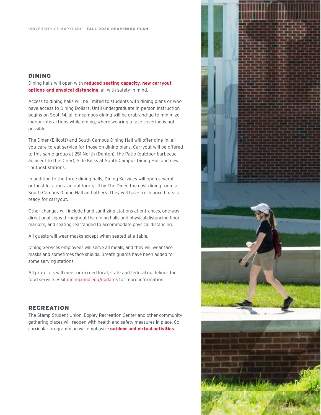#### DINING

Dining halls will open with **reduced seating capacity, new carryout options and physical distancing**, all with safety in mind.

Access to dining halls will be limited to students with dining plans or who have access to Dining Dollars. Until undergraduate in-person instruction begins on Sept. 14, all on-campus dining will be grab-and-go to minimize indoor interactions while dining, where wearing a face covering is not possible.

The Diner (Ellicott) and South Campus Dining Hall will offer dine-in, allyou-care-to-eat service for those on dining plans. Carryout will be offered to this same group at 251 North (Denton), the Patio (outdoor barbecue adjacent to the Diner), Side Kicks at South Campus Dining Hall and new "outpost stations."

In addition to the three dining halls, Dining Services will open several outpost locations: an outdoor grill by The Diner, the east dining room at South Campus Dining Hall and others. They will have fresh boxed meals ready for carryout.

Other changes will include hand sanitizing stations at entrances, one-way directional signs throughout the dining halls and physical distancing floor markers, and seating rearranged to accommodate physical distancing.

All guests will wear masks except when seated at a table.

Dining Services employees will serve all meals, and they will wear face masks and sometimes face shields. Breath guards have been added to some serving stations.

All protocols will meet or exceed local, state and federal guidelines for food service. Visit [dining.umd.edu/updates](http://dining.umd.edu/updates/) for more information.

#### RECREATION

The Stamp Student Union, Eppley Recreation Center and other community gathering places will reopen with health and safety measures in place. Cocurricular programming will emphasize **outdoor and virtual activities**.

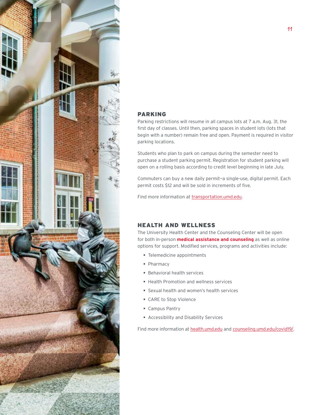

#### PARKING

Parking restrictions will resume in all campus lots at 7 a.m. Aug. 31, the first day of classes. Until then, parking spaces in student lots (lots that begin with a number) remain free and open. Payment is required in visitor parking locations.

Students who plan to park on campus during the semester need to purchase a student parking permit. Registration for student parking will open on a rolling basis according to credit level beginning in late July.

Commuters can buy a new daily permit—a single-use, digital permit. Each permit costs \$12 and will be sold in increments of five.

Find more information at [transportation.umd.edu](https://transportation.umd.edu).

#### HEALTH AND WELLNESS

The University Health Center and the Counseling Center will be open for both in-person **medical assistance and counseling** as well as online options for support. Modified services, programs and activities include:

- Telemedicine appointments
- Pharmacy
- **Behavioral health services**
- **Health Promotion and wellness services**
- Sexual health and women's health services
- CARE to Stop Violence
- Campus Pantry
- Accessibility and Disability Services

Find more information at [health.umd.edu](https://health.umd.edu/) and [counseling.umd.edu/covid19/.](https://counseling.umd.edu/covid19/)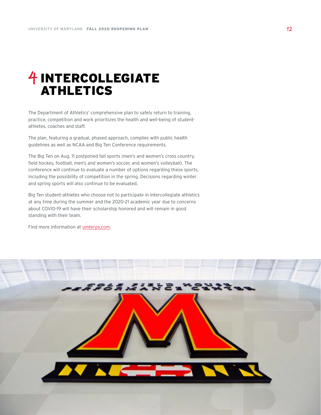### **4** INTERCOLLEGIATE ATHLETICS

The Department of Athletics' comprehensive plan to safely return to training, practice, competition and work prioritizes the health and well-being of studentathletes, coaches and staff.

The plan, featuring a gradual, phased approach, complies with public health guidelines as well as NCAA and Big Ten Conference requirements.

The Big Ten on Aug. 11 postponed fall sports (men's and women's cross country, field hockey, football, men's and women's soccer, and women's volleyball). The conference will continue to evaluate a number of options regarding these sports, including the possibility of competition in the spring. Decisions regarding winter and spring sports will also continue to be evaluated.

Big Ten student-athletes who choose not to participate in intercollegiate athletics at any time during the summer and the 2020-21 academic year due to concerns about COVID-19 will have their scholarship honored and will remain in good standing with their team.

Find more information at [umterps.com.](http://umterps.com)